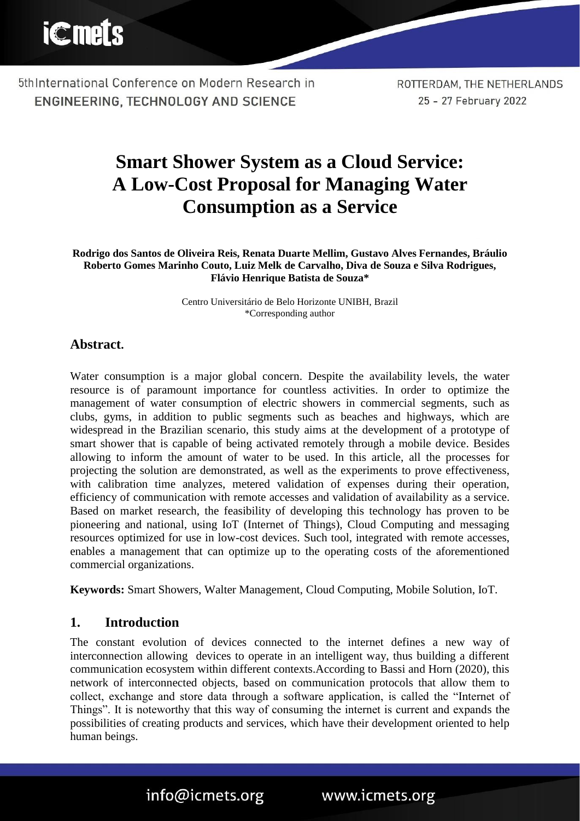

ROTTERDAM, THE NETHERLANDS 25 - 27 February 2022

# **Smart Shower System as a Cloud Service: A Low-Cost Proposal for Managing Water Consumption as a Service**

**Rodrigo dos Santos de Oliveira Reis, Renata Duarte Mellim, Gustavo Alves Fernandes, Bráulio Roberto Gomes Marinho Couto, Luiz Melk de Carvalho, Diva de Souza e Silva Rodrigues, Flávio Henrique Batista de Souza\***

> Centro Universitário de Belo Horizonte UNIBH, Brazil \*Corresponding author

# **Abstract.**

Water consumption is a major global concern. Despite the availability levels, the water resource is of paramount importance for countless activities. In order to optimize the management of water consumption of electric showers in commercial segments, such as clubs, gyms, in addition to public segments such as beaches and highways, which are widespread in the Brazilian scenario, this study aims at the development of a prototype of smart shower that is capable of being activated remotely through a mobile device. Besides allowing to inform the amount of water to be used. In this article, all the processes for projecting the solution are demonstrated, as well as the experiments to prove effectiveness, with calibration time analyzes, metered validation of expenses during their operation, efficiency of communication with remote accesses and validation of availability as a service. Based on market research, the feasibility of developing this technology has proven to be pioneering and national, using IoT (Internet of Things), Cloud Computing and messaging resources optimized for use in low-cost devices. Such tool, integrated with remote accesses, enables a management that can optimize up to the operating costs of the aforementioned commercial organizations.

**Keywords:** Smart Showers, Walter Management, Cloud Computing, Mobile Solution, IoT.

# **1. Introduction**

The constant evolution of devices connected to the internet defines a new way of interconnection allowing devices to operate in an intelligent way, thus building a different communication ecosystem within different contexts.According to Bassi and Horn (2020), this network of interconnected objects, based on communication protocols that allow them to collect, exchange and store data through a software application, is called the "Internet of Things". It is noteworthy that this way of consuming the internet is current and expands the possibilities of creating products and services, which have their development oriented to help human beings.

info@icmets.org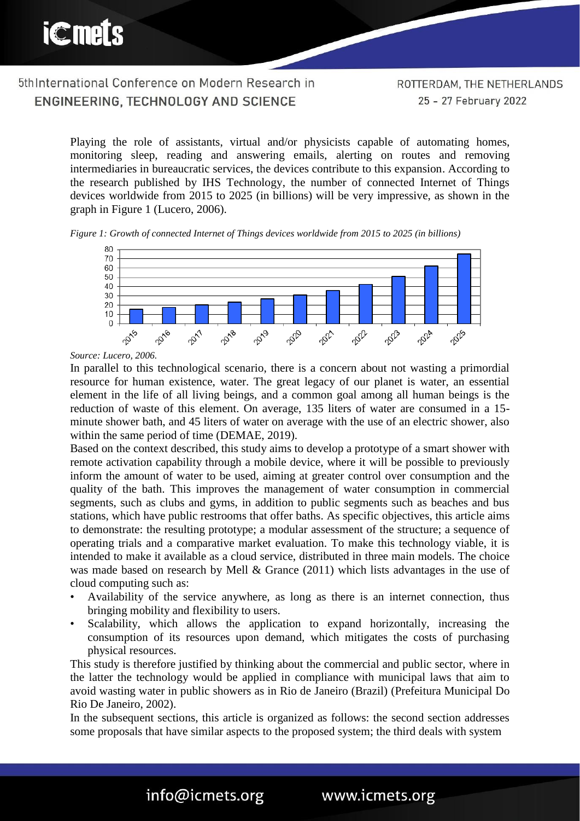Playing the role of assistants, virtual and/or physicists capable of automating homes, monitoring sleep, reading and answering emails, alerting on routes and removing intermediaries in bureaucratic services, the devices contribute to this expansion. According to the research published by IHS Technology, the number of connected Internet of Things devices worldwide from 2015 to 2025 (in billions) will be very impressive, as shown in the graph in Figure 1 (Lucero, 2006).





*Source: Lucero, 2006.*

In parallel to this technological scenario, there is a concern about not wasting a primordial resource for human existence, water. The great legacy of our planet is water, an essential element in the life of all living beings, and a common goal among all human beings is the reduction of waste of this element. On average, 135 liters of water are consumed in a 15 minute shower bath, and 45 liters of water on average with the use of an electric shower, also within the same period of time (DEMAE, 2019).

Based on the context described, this study aims to develop a prototype of a smart shower with remote activation capability through a mobile device, where it will be possible to previously inform the amount of water to be used, aiming at greater control over consumption and the quality of the bath. This improves the management of water consumption in commercial segments, such as clubs and gyms, in addition to public segments such as beaches and bus stations, which have public restrooms that offer baths. As specific objectives, this article aims to demonstrate: the resulting prototype; a modular assessment of the structure; a sequence of operating trials and a comparative market evaluation. To make this technology viable, it is intended to make it available as a cloud service, distributed in three main models. The choice was made based on research by Mell & Grance (2011) which lists advantages in the use of cloud computing such as:

- Availability of the service anywhere, as long as there is an internet connection, thus bringing mobility and flexibility to users.
- Scalability, which allows the application to expand horizontally, increasing the consumption of its resources upon demand, which mitigates the costs of purchasing physical resources.

This study is therefore justified by thinking about the commercial and public sector, where in the latter the technology would be applied in compliance with municipal laws that aim to avoid wasting water in public showers as in Rio de Janeiro (Brazil) (Prefeitura Municipal Do Rio De Janeiro, 2002).

In the subsequent sections, this article is organized as follows: the second section addresses some proposals that have similar aspects to the proposed system; the third deals with system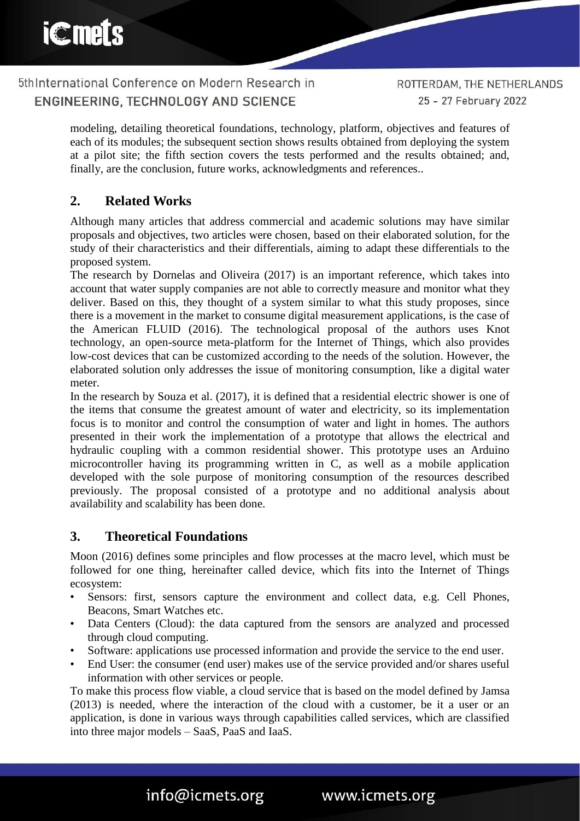ROTTERDAM, THE NETHERLANDS 25 - 27 February 2022

modeling, detailing theoretical foundations, technology, platform, objectives and features of each of its modules; the subsequent section shows results obtained from deploying the system at a pilot site; the fifth section covers the tests performed and the results obtained; and, finally, are the conclusion, future works, acknowledgments and references..

# **2. Related Works**

Although many articles that address commercial and academic solutions may have similar proposals and objectives, two articles were chosen, based on their elaborated solution, for the study of their characteristics and their differentials, aiming to adapt these differentials to the proposed system.

The research by Dornelas and Oliveira (2017) is an important reference, which takes into account that water supply companies are not able to correctly measure and monitor what they deliver. Based on this, they thought of a system similar to what this study proposes, since there is a movement in the market to consume digital measurement applications, is the case of the American FLUID (2016). The technological proposal of the authors uses Knot technology, an open-source meta-platform for the Internet of Things, which also provides low-cost devices that can be customized according to the needs of the solution. However, the elaborated solution only addresses the issue of monitoring consumption, like a digital water meter.

In the research by Souza et al. (2017), it is defined that a residential electric shower is one of the items that consume the greatest amount of water and electricity, so its implementation focus is to monitor and control the consumption of water and light in homes. The authors presented in their work the implementation of a prototype that allows the electrical and hydraulic coupling with a common residential shower. This prototype uses an Arduino microcontroller having its programming written in C, as well as a mobile application developed with the sole purpose of monitoring consumption of the resources described previously. The proposal consisted of a prototype and no additional analysis about availability and scalability has been done.

# **3. Theoretical Foundations**

Moon (2016) defines some principles and flow processes at the macro level, which must be followed for one thing, hereinafter called device, which fits into the Internet of Things ecosystem:

- Sensors: first, sensors capture the environment and collect data, e.g. Cell Phones, Beacons, Smart Watches etc.
- Data Centers (Cloud): the data captured from the sensors are analyzed and processed through cloud computing.
- Software: applications use processed information and provide the service to the end user.
- End User: the consumer (end user) makes use of the service provided and/or shares useful information with other services or people.

To make this process flow viable, a cloud service that is based on the model defined by Jamsa (2013) is needed, where the interaction of the cloud with a customer, be it a user or an application, is done in various ways through capabilities called services, which are classified into three major models – SaaS, PaaS and IaaS.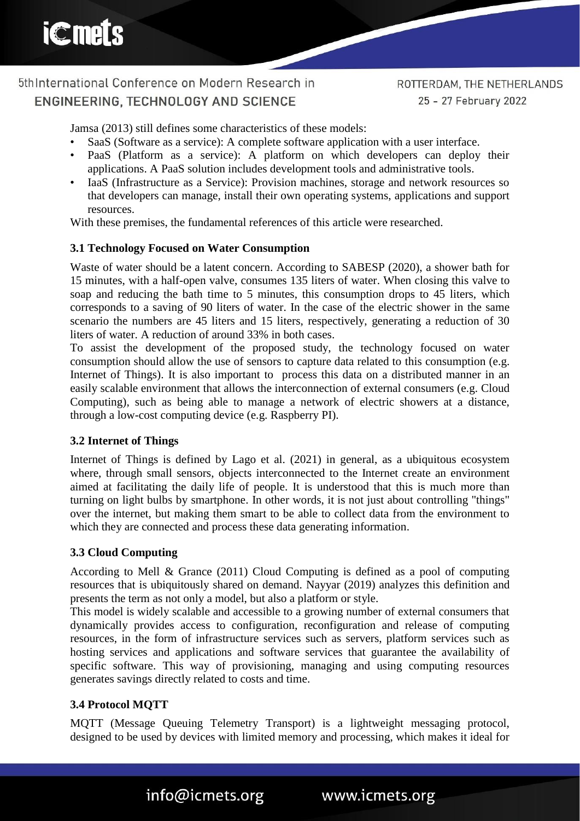ROTTERDAM, THE NETHERLANDS 25 - 27 February 2022

Jamsa (2013) still defines some characteristics of these models:

- SaaS (Software as a service): A complete software application with a user interface.
- PaaS (Platform as a service): A platform on which developers can deploy their applications. A PaaS solution includes development tools and administrative tools.
- IaaS (Infrastructure as a Service): Provision machines, storage and network resources so that developers can manage, install their own operating systems, applications and support resources.

With these premises, the fundamental references of this article were researched.

## **3.1 Technology Focused on Water Consumption**

Waste of water should be a latent concern. According to SABESP (2020), a shower bath for 15 minutes, with a half-open valve, consumes 135 liters of water. When closing this valve to soap and reducing the bath time to 5 minutes, this consumption drops to 45 liters, which corresponds to a saving of 90 liters of water. In the case of the electric shower in the same scenario the numbers are 45 liters and 15 liters, respectively, generating a reduction of 30 liters of water. A reduction of around 33% in both cases.

To assist the development of the proposed study, the technology focused on water consumption should allow the use of sensors to capture data related to this consumption (e.g. Internet of Things). It is also important to process this data on a distributed manner in an easily scalable environment that allows the interconnection of external consumers (e.g. Cloud Computing), such as being able to manage a network of electric showers at a distance, through a low-cost computing device (e.g. Raspberry PI).

## **3.2 Internet of Things**

Internet of Things is defined by Lago et al. (2021) in general, as a ubiquitous ecosystem where, through small sensors, objects interconnected to the Internet create an environment aimed at facilitating the daily life of people. It is understood that this is much more than turning on light bulbs by smartphone. In other words, it is not just about controlling "things" over the internet, but making them smart to be able to collect data from the environment to which they are connected and process these data generating information.

## **3.3 Cloud Computing**

According to Mell & Grance (2011) Cloud Computing is defined as a pool of computing resources that is ubiquitously shared on demand. Nayyar (2019) analyzes this definition and presents the term as not only a model, but also a platform or style.

This model is widely scalable and accessible to a growing number of external consumers that dynamically provides access to configuration, reconfiguration and release of computing resources, in the form of infrastructure services such as servers, platform services such as hosting services and applications and software services that guarantee the availability of specific software. This way of provisioning, managing and using computing resources generates savings directly related to costs and time.

## **3.4 Protocol MQTT**

MQTT (Message Queuing Telemetry Transport) is a lightweight messaging protocol, designed to be used by devices with limited memory and processing, which makes it ideal for

info@icmets.org www.icmets.org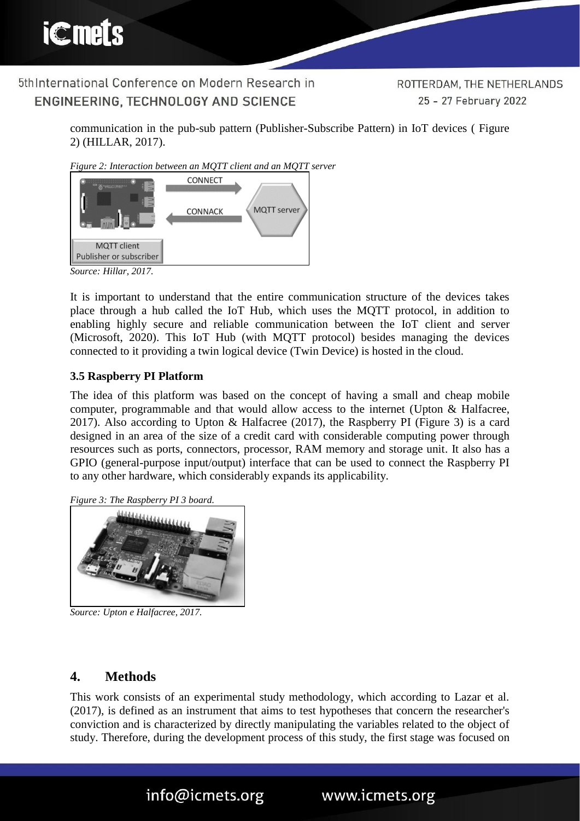

ROTTERDAM, THE NETHERLANDS 25 - 27 February 2022

communication in the pub-sub pattern (Publisher-Subscribe Pattern) in IoT devices ( Figure 2) (HILLAR, 2017).

*Figure 2: Interaction between an MQTT client and an MQTT server*



*Source: Hillar, 2017.*

It is important to understand that the entire communication structure of the devices takes place through a hub called the IoT Hub, which uses the MQTT protocol, in addition to enabling highly secure and reliable communication between the IoT client and server (Microsoft, 2020). This IoT Hub (with MQTT protocol) besides managing the devices connected to it providing a twin logical device (Twin Device) is hosted in the cloud.

## **3.5 Raspberry PI Platform**

The idea of this platform was based on the concept of having a small and cheap mobile computer, programmable and that would allow access to the internet (Upton & Halfacree, 2017). Also according to Upton & Halfacree (2017), the Raspberry PI (Figure 3) is a card designed in an area of the size of a credit card with considerable computing power through resources such as ports, connectors, processor, RAM memory and storage unit. It also has a GPIO (general-purpose input/output) interface that can be used to connect the Raspberry PI to any other hardware, which considerably expands its applicability.





info@icmets.org

*Source: Upton e Halfacree, 2017.*

# **4. Methods**

This work consists of an experimental study methodology, which according to Lazar et al. (2017), is defined as an instrument that aims to test hypotheses that concern the researcher's conviction and is characterized by directly manipulating the variables related to the object of study. Therefore, during the development process of this study, the first stage was focused on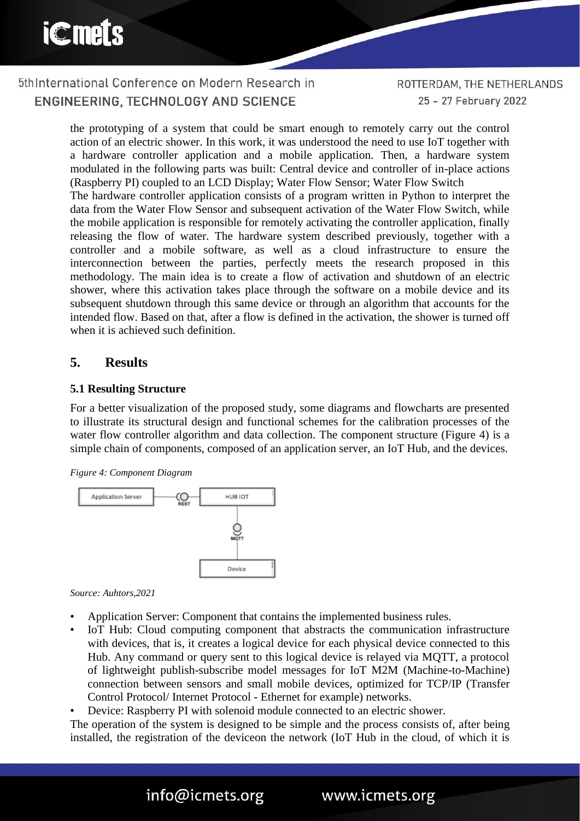# **i**Cmets

5thInternational Conference on Modern Research in ENGINEERING, TECHNOLOGY AND SCIENCE

ROTTERDAM, THE NETHERLANDS 25 - 27 February 2022

the prototyping of a system that could be smart enough to remotely carry out the control action of an electric shower. In this work, it was understood the need to use IoT together with a hardware controller application and a mobile application. Then, a hardware system modulated in the following parts was built: Central device and controller of in-place actions (Raspberry PI) coupled to an LCD Display; Water Flow Sensor; Water Flow Switch The hardware controller application consists of a program written in Python to interpret the data from the Water Flow Sensor and subsequent activation of the Water Flow Switch, while the mobile application is responsible for remotely activating the controller application, finally releasing the flow of water. The hardware system described previously, together with a controller and a mobile software, as well as a cloud infrastructure to ensure the interconnection between the parties, perfectly meets the research proposed in this methodology. The main idea is to create a flow of activation and shutdown of an electric shower, where this activation takes place through the software on a mobile device and its subsequent shutdown through this same device or through an algorithm that accounts for the intended flow. Based on that, after a flow is defined in the activation, the shower is turned off when it is achieved such definition.

# **5. Results**

## **5.1 Resulting Structure**

For a better visualization of the proposed study, some diagrams and flowcharts are presented to illustrate its structural design and functional schemes for the calibration processes of the water flow controller algorithm and data collection. The component structure (Figure 4) is a simple chain of components, composed of an application server, an IoT Hub, and the devices.





*Source: Auhtors,2021*

- Application Server: Component that contains the implemented business rules.
- IoT Hub: Cloud computing component that abstracts the communication infrastructure with devices, that is, it creates a logical device for each physical device connected to this Hub. Any command or query sent to this logical device is relayed via MQTT, a protocol of lightweight publish-subscribe model messages for IoT M2M (Machine-to-Machine) connection between sensors and small mobile devices, optimized for TCP/IP (Transfer Control Protocol/ Internet Protocol - Ethernet for example) networks.
- Device: Raspberry PI with solenoid module connected to an electric shower.

info@icmets.org

The operation of the system is designed to be simple and the process consists of, after being installed, the registration of the deviceon the network (IoT Hub in the cloud, of which it is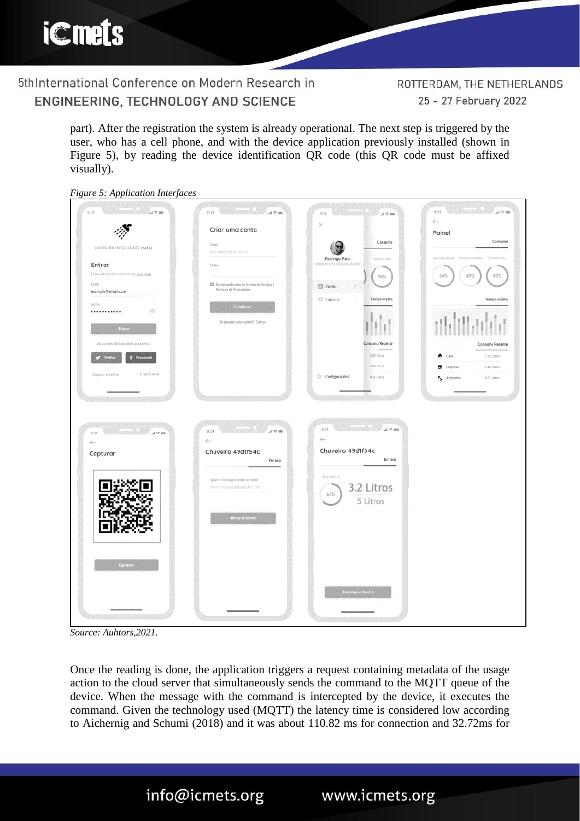

ROTTERDAM, THE NETHERLANDS 25 - 27 February 2022

part). After the registration the system is already operational. The next step is triggered by the user, who has a cell phone, and with the device application previously installed (shown in Figure 5), by reading the device identification QR code (this QR code must be affixed visually).





*Source: Auhtors,2021.*

Once the reading is done, the application triggers a request containing metadata of the usage action to the cloud server that simultaneously sends the command to the MQTT queue of the device. When the message with the command is intercepted by the device, it executes the command. Given the technology used (MQTT) the latency time is considered low according to Aichernig and Schumi (2018) and it was about 110.82 ms for connection and 32.72ms for

info@icmets.org

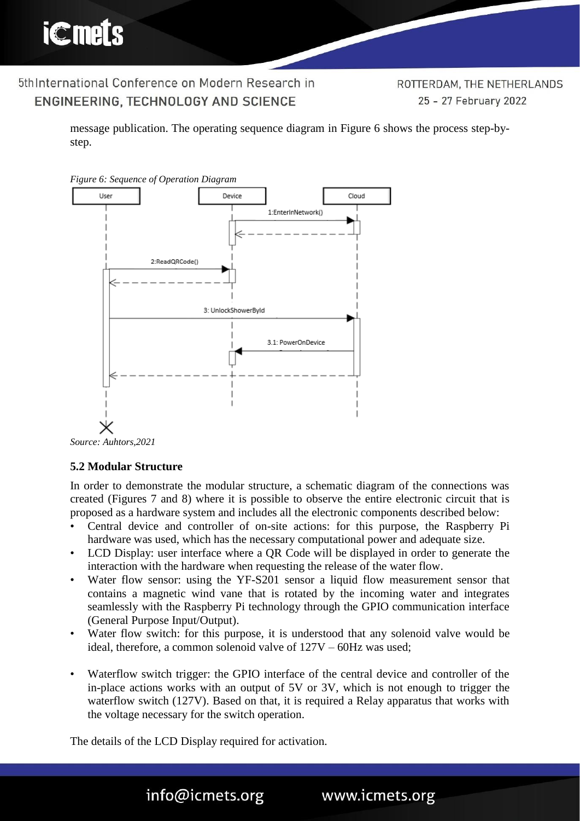ROTTERDAM, THE NETHERLANDS 25 - 27 February 2022

message publication. The operating sequence diagram in Figure 6 shows the process step-bystep.





# **5.2 Modular Structure**

In order to demonstrate the modular structure, a schematic diagram of the connections was created (Figures 7 and 8) where it is possible to observe the entire electronic circuit that is proposed as a hardware system and includes all the electronic components described below:

- Central device and controller of on-site actions: for this purpose, the Raspberry Pi hardware was used, which has the necessary computational power and adequate size.
- LCD Display: user interface where a QR Code will be displayed in order to generate the interaction with the hardware when requesting the release of the water flow.
- Water flow sensor: using the YF-S201 sensor a liquid flow measurement sensor that contains a magnetic wind vane that is rotated by the incoming water and integrates seamlessly with the Raspberry Pi technology through the GPIO communication interface (General Purpose Input/Output).
- Water flow switch: for this purpose, it is understood that any solenoid valve would be ideal, therefore, a common solenoid valve of 127V – 60Hz was used;
- Waterflow switch trigger: the GPIO interface of the central device and controller of the in-place actions works with an output of 5V or 3V, which is not enough to trigger the waterflow switch (127V). Based on that, it is required a Relay apparatus that works with the voltage necessary for the switch operation.

www.icmets.org

The details of the LCD Display required for activation.

info@icmets.org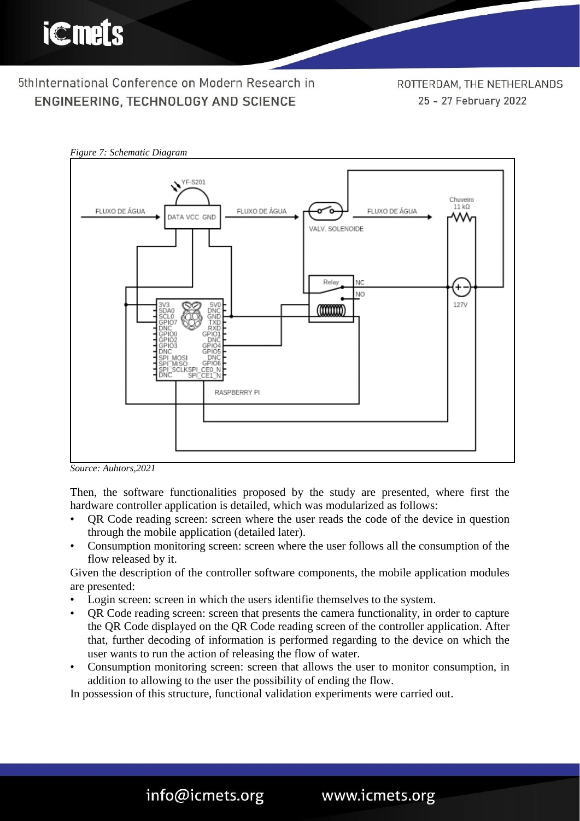ROTTERDAM, THE NETHERLANDS 25 - 27 February 2022



*Source: Auhtors,2021*

Then, the software functionalities proposed by the study are presented, where first the hardware controller application is detailed, which was modularized as follows:

- QR Code reading screen: screen where the user reads the code of the device in question through the mobile application (detailed later).
- Consumption monitoring screen: screen where the user follows all the consumption of the flow released by it.

Given the description of the controller software components, the mobile application modules are presented:

- Login screen: screen in which the users identifie themselves to the system.
- QR Code reading screen: screen that presents the camera functionality, in order to capture the QR Code displayed on the QR Code reading screen of the controller application. After that, further decoding of information is performed regarding to the device on which the user wants to run the action of releasing the flow of water.
- Consumption monitoring screen: screen that allows the user to monitor consumption, in addition to allowing to the user the possibility of ending the flow.

In possession of this structure, functional validation experiments were carried out.

info@icmets.org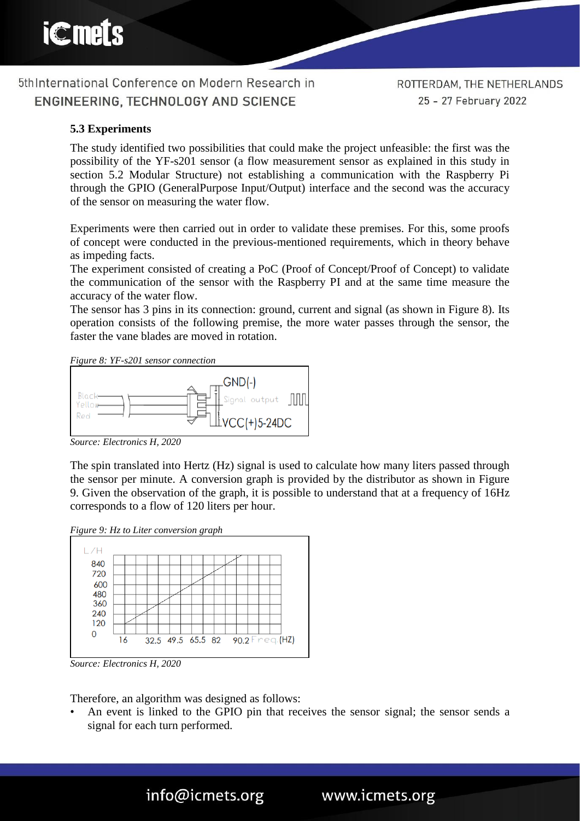

# **5.3 Experiments**

The study identified two possibilities that could make the project unfeasible: the first was the possibility of the YF-s201 sensor (a flow measurement sensor as explained in this study in section 5.2 Modular Structure) not establishing a communication with the Raspberry Pi through the GPIO (GeneralPurpose Input/Output) interface and the second was the accuracy of the sensor on measuring the water flow.

Experiments were then carried out in order to validate these premises. For this, some proofs of concept were conducted in the previous-mentioned requirements, which in theory behave as impeding facts.

The experiment consisted of creating a PoC (Proof of Concept/Proof of Concept) to validate the communication of the sensor with the Raspberry PI and at the same time measure the accuracy of the water flow.

The sensor has 3 pins in its connection: ground, current and signal (as shown in Figure 8). Its operation consists of the following premise, the more water passes through the sensor, the faster the vane blades are moved in rotation.

*Figure 8: YF-s201 sensor connection*



*Source: Electronics H, 2020*

The spin translated into Hertz (Hz) signal is used to calculate how many liters passed through the sensor per minute. A conversion graph is provided by the distributor as shown in Figure 9. Given the observation of the graph, it is possible to understand that at a frequency of 16Hz corresponds to a flow of 120 liters per hour.

*Figure 9: Hz to Liter conversion graph*



*Source: Electronics H, 2020*

Therefore, an algorithm was designed as follows:

An event is linked to the GPIO pin that receives the sensor signal; the sensor sends a signal for each turn performed.

info@icmets.org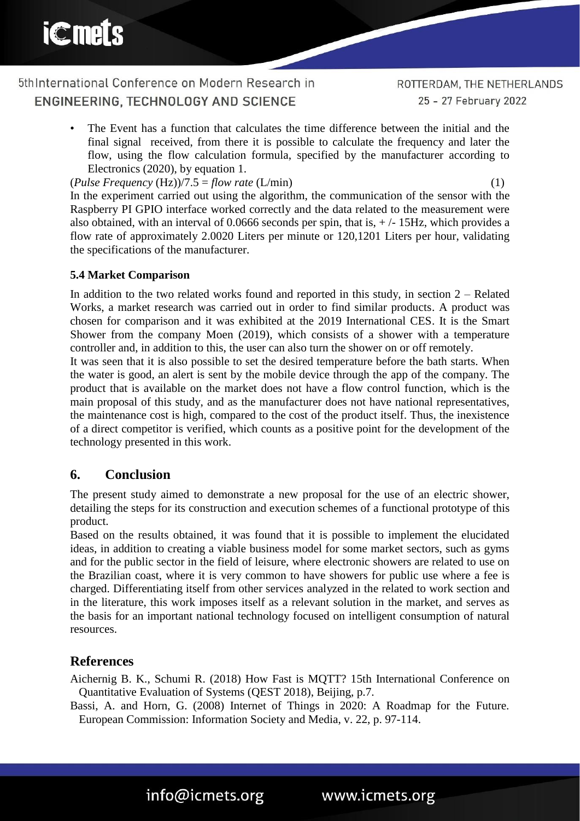

ROTTERDAM, THE NETHERLANDS 25 - 27 February 2022

• The Event has a function that calculates the time difference between the initial and the final signal received, from there it is possible to calculate the frequency and later the flow, using the flow calculation formula, specified by the manufacturer according to Electronics (2020), by equation 1.

 $(Pulse Frequency (Hz)/7.5 = flow rate (L/min)$  (1) In the experiment carried out using the algorithm, the communication of the sensor with the Raspberry PI GPIO interface worked correctly and the data related to the measurement were also obtained, with an interval of 0.0666 seconds per spin, that is,  $+/-15Hz$ , which provides a flow rate of approximately 2.0020 Liters per minute or 120,1201 Liters per hour, validating the specifications of the manufacturer.

## **5.4 Market Comparison**

In addition to the two related works found and reported in this study, in section  $2 -$  Related Works, a market research was carried out in order to find similar products. A product was chosen for comparison and it was exhibited at the 2019 International CES. It is the Smart Shower from the company Moen (2019), which consists of a shower with a temperature controller and, in addition to this, the user can also turn the shower on or off remotely.

It was seen that it is also possible to set the desired temperature before the bath starts. When the water is good, an alert is sent by the mobile device through the app of the company. The product that is available on the market does not have a flow control function, which is the main proposal of this study, and as the manufacturer does not have national representatives, the maintenance cost is high, compared to the cost of the product itself. Thus, the inexistence of a direct competitor is verified, which counts as a positive point for the development of the technology presented in this work.

# **6. Conclusion**

The present study aimed to demonstrate a new proposal for the use of an electric shower, detailing the steps for its construction and execution schemes of a functional prototype of this product.

Based on the results obtained, it was found that it is possible to implement the elucidated ideas, in addition to creating a viable business model for some market sectors, such as gyms and for the public sector in the field of leisure, where electronic showers are related to use on the Brazilian coast, where it is very common to have showers for public use where a fee is charged. Differentiating itself from other services analyzed in the related to work section and in the literature, this work imposes itself as a relevant solution in the market, and serves as the basis for an important national technology focused on intelligent consumption of natural resources.

# **References**

Aichernig B. K., Schumi R. (2018) How Fast is MQTT? 15th International Conference on Quantitative Evaluation of Systems (QEST 2018), Beijing, p.7.

Bassi, A. and Horn, G. (2008) Internet of Things in 2020: A Roadmap for the Future. European Commission: Information Society and Media, v. 22, p. 97-114.

info@icmets.org